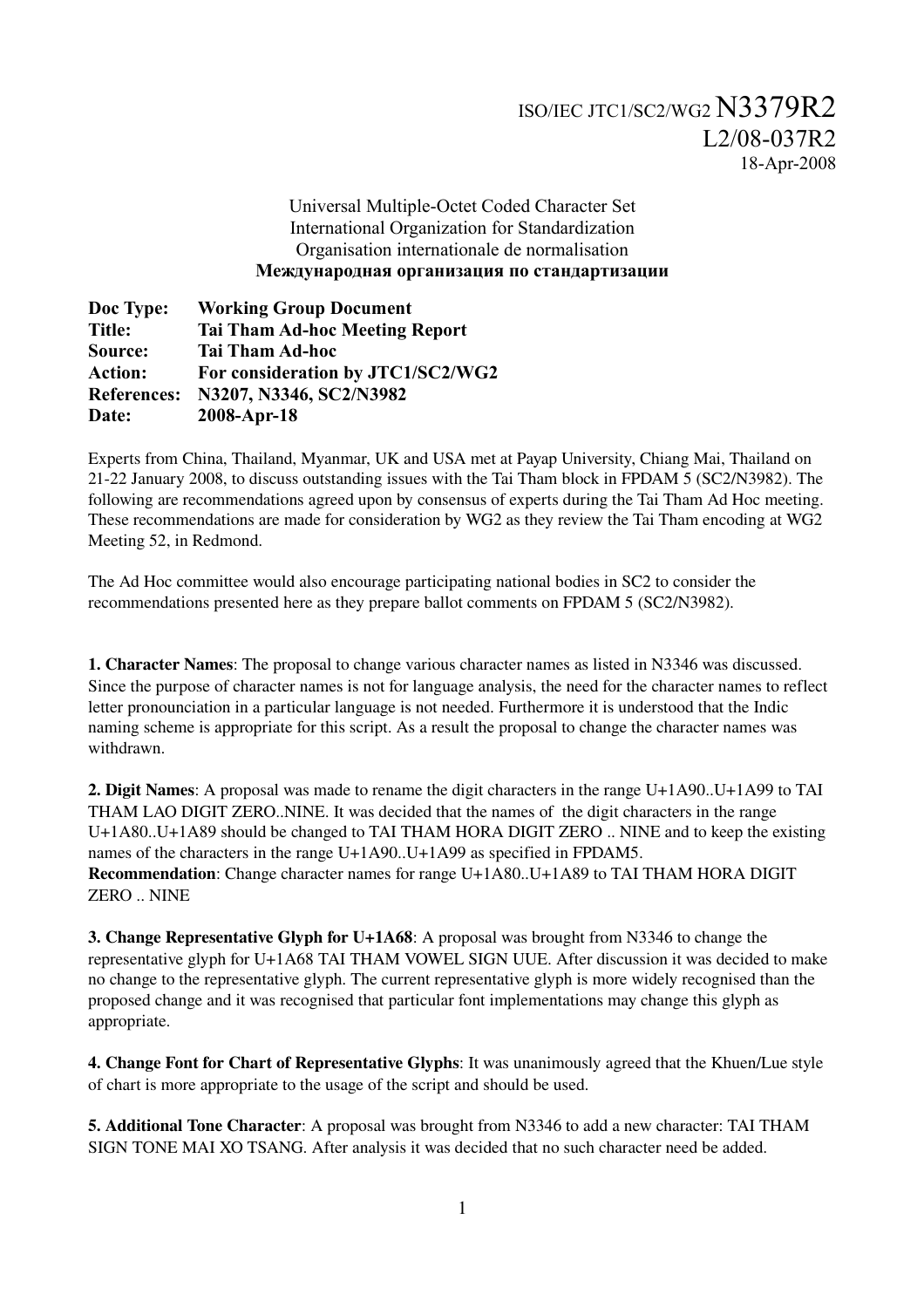## Universal Multiple-Octet Coded Character Set International Organization for Standardization Organisation internationale de normalisation **Международная организация по стандартизации**

| Doc Type:          | <b>Working Group Document</b>         |
|--------------------|---------------------------------------|
| <b>Title:</b>      | <b>Tai Tham Ad-hoc Meeting Report</b> |
| Source:            | <b>Tai Tham Ad-hoc</b>                |
| <b>Action:</b>     | For consideration by JTC1/SC2/WG2     |
| <b>References:</b> | N3207, N3346, SC2/N3982               |
| Date:              | 2008-Apr-18                           |

Experts from China, Thailand, Myanmar, UK and USA met at Payap University, Chiang Mai, Thailand on 2122 January 2008, to discuss outstanding issues with the Tai Tham block in FPDAM 5 (SC2/N3982). The following are recommendations agreed upon by consensus of experts during the Tai Tham Ad Hoc meeting. These recommendations are made for consideration by WG2 as they review the Tai Tham encoding at WG2 Meeting 52, in Redmond.

The Ad Hoc committee would also encourage participating national bodies in SC2 to consider the recommendations presented here as they prepare ballot comments on FPDAM 5 (SC2/N3982).

1. Character Names: The proposal to change various character names as listed in N3346 was discussed. Since the purpose of character names is not for language analysis, the need for the character names to reflect letter pronounciation in a particular language is not needed. Furthermore it is understood that the Indic naming scheme is appropriate for this script. As a result the proposal to change the character names was withdrawn.

2. Digit Names: A proposal was made to rename the digit characters in the range U+1A90..U+1A99 to TAI THAM LAO DIGIT ZERO..NINE. It was decided that the names of the digit characters in the range U+1A80..U+1A89 should be changed to TAI THAM HORA DIGIT ZERO .. NINE and to keep the existing names of the characters in the range U+1A90..U+1A99 as specified in FPDAM5. Recommendation: Change character names for range U+1A80..U+1A89 to TAI THAM HORA DIGIT ZERO .. NINE

3. Change Representative Glyph for U+1A68: A proposal was brought from N3346 to change the representative glyph for U+1A68 TAI THAM VOWEL SIGN UUE. After discussion it was decided to make no change to the representative glyph. The current representative glyph is more widely recognised than the proposed change and it was recognised that particular font implementations may change this glyph as appropriate.

4. Change Font for Chart of Representative Glyphs: It was unanimously agreed that the Khuen/Lue style of chart is more appropriate to the usage of the script and should be used.

5. Additional Tone Character: A proposal was brought from N3346 to add a new character: TAI THAM SIGN TONE MAI XO TSANG. After analysis it was decided that no such character need be added.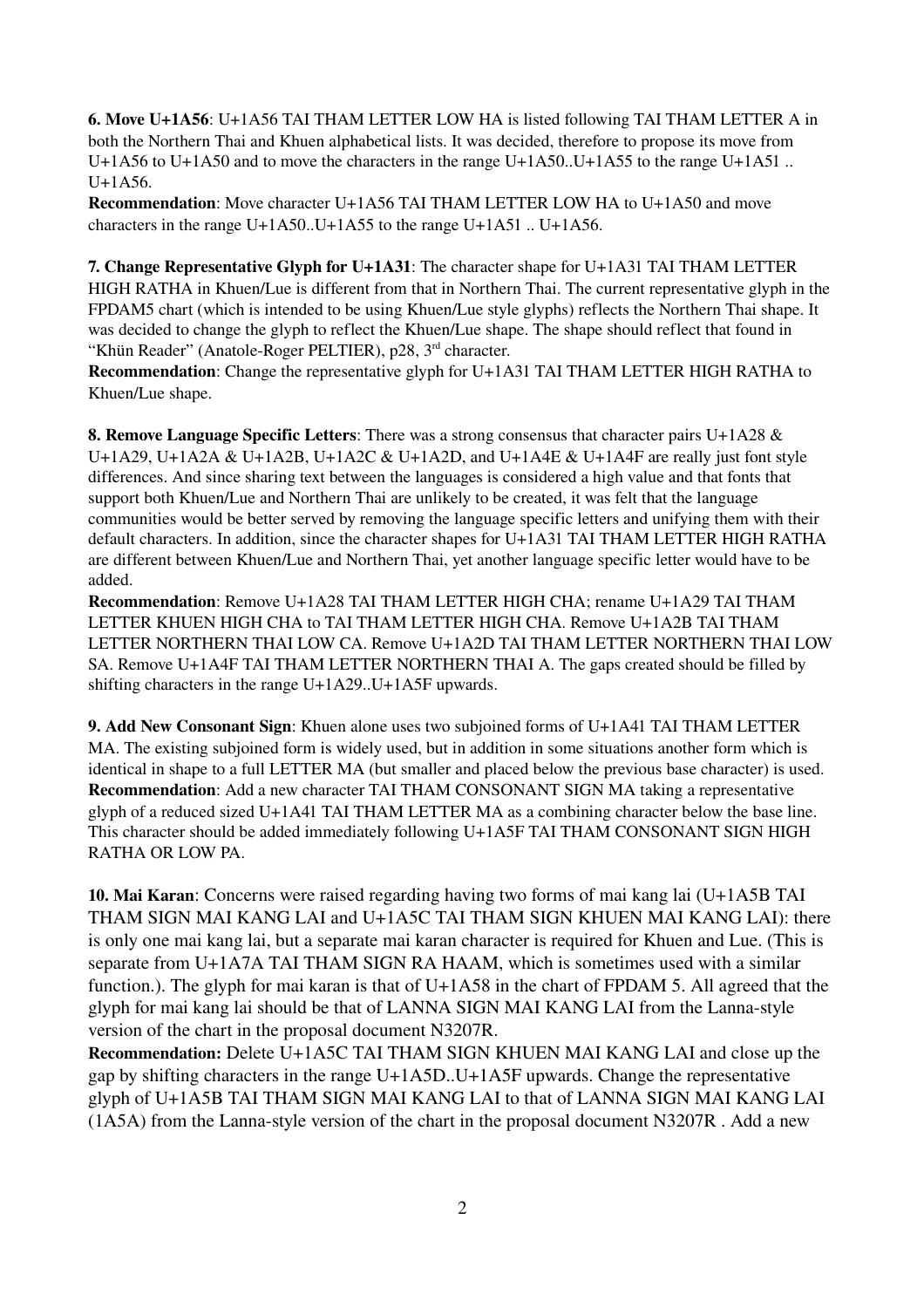6. Move U+1A56: U+1A56 TAI THAM LETTER LOW HA is listed following TAI THAM LETTER A in both the Northern Thai and Khuen alphabetical lists. It was decided, therefore to propose its move from U+1A56 to U+1A50 and to move the characters in the range U+1A50. U+1A55 to the range U+1A51 ..  $U+1A56.$ 

Recommendation: Move character U+1A56 TAI THAM LETTER LOW HA to U+1A50 and move characters in the range U+1A50..U+1A55 to the range U+1A51 .. U+1A56.

7. Change Representative Glyph for U+1A31: The character shape for U+1A31 TAI THAM LETTER HIGH RATHA in Khuen/Lue is different from that in Northern Thai. The current representative glyph in the FPDAM5 chart (which is intended to be using Khuen/Lue style glyphs) reflects the Northern Thai shape. It was decided to change the glyph to reflect the Khuen/Lue shape. The shape should reflect that found in "Khün Reader" (Anatole-Roger PELTIER),  $p28$ ,  $3<sup>rd</sup>$  character.

Recommendation: Change the representative glyph for U+1A31 TAI THAM LETTER HIGH RATHA to Khuen/Lue shape.

8. Remove Language Specific Letters: There was a strong consensus that character pairs U+1A28 & U+1A29, U+1A2A & U+1A2B, U+1A2C & U+1A2D, and U+1A4E & U+1A4F are really just font style differences. And since sharing text between the languages is considered a high value and that fonts that support both Khuen/Lue and Northern Thai are unlikely to be created, it was felt that the language communities would be better served by removing the language specific letters and unifying them with their default characters. In addition, since the character shapes for U+1A31 TAI THAM LETTER HIGH RATHA are different between Khuen/Lue and Northern Thai, yet another language specific letter would have to be added.

Recommendation: Remove U+1A28 TAI THAM LETTER HIGH CHA; rename U+1A29 TAI THAM LETTER KHUEN HIGH CHA to TAI THAM LETTER HIGH CHA. Remove U+1A2B TAI THAM LETTER NORTHERN THAI LOW CA. Remove U+1A2D TAI THAM LETTER NORTHERN THAI LOW SA. Remove U+1A4F TAI THAM LETTER NORTHERN THAI A. The gaps created should be filled by shifting characters in the range U+1A29..U+1A5F upwards.

9. Add New Consonant Sign: Khuen alone uses two subjoined forms of U+1A41 TAI THAM LETTER MA. The existing subjoined form is widely used, but in addition in some situations another form which is identical in shape to a full LETTER MA (but smaller and placed below the previous base character) is used. Recommendation: Add a new character TAI THAM CONSONANT SIGN MA taking a representative glyph of a reduced sized U+1A41 TAI THAM LETTER MA as a combining character below the base line. This character should be added immediately following U+1A5F TAI THAM CONSONANT SIGN HIGH RATHA OR LOW PA.

10. Mai Karan: Concerns were raised regarding having two forms of mai kang lai (U+1A5B TAI THAM SIGN MAI KANG LAI and U+1A5C TAI THAM SIGN KHUEN MAI KANG LAI): there is only one mai kang lai, but a separate mai karan character is required for Khuen and Lue. (This is separate from U+1A7A TAI THAM SIGN RA HAAM, which is sometimes used with a similar function.). The glyph for mai karan is that of U+1A58 in the chart of FPDAM 5. All agreed that the glyph for mai kang lai should be that of LANNA SIGN MAI KANG LAI from the Lanna-style version of the chart in the proposal document N3207R.

Recommendation: Delete U+1A5C TAI THAM SIGN KHUEN MAI KANG LAI and close up the gap by shifting characters in the range U+1A5D..U+1A5F upwards. Change the representative glyph of U+1A5B TAI THAM SIGN MAI KANG LAI to that of LANNA SIGN MAI KANG LAI  $(1A5A)$  from the Lanna-style version of the chart in the proposal document N3207R. Add a new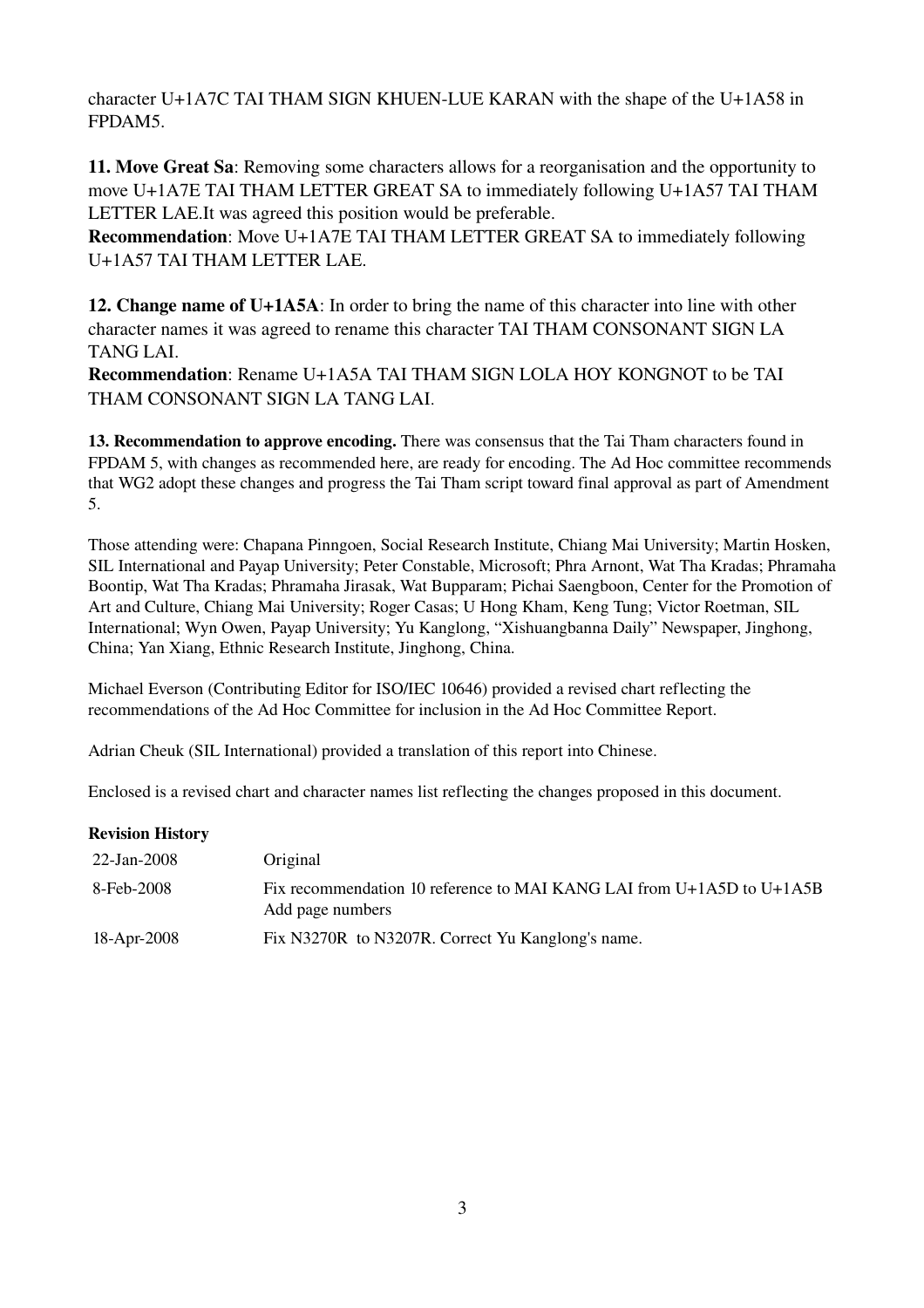character U+1A7C TAI THAM SIGN KHUEN-LUE KARAN with the shape of the U+1A58 in FPDAM5.

11. Move Great Sa: Removing some characters allows for a reorganisation and the opportunity to move U+1A7E TAI THAM LETTER GREAT SA to immediately following U+1A57 TAI THAM LETTER LAE.It was agreed this position would be preferable.

Recommendation: Move U+1A7E TAI THAM LETTER GREAT SA to immediately following U+1A57 TAI THAM LETTER LAE.

12. Change name of U+1A5A: In order to bring the name of this character into line with other character names it was agreed to rename this character TAI THAM CONSONANT SIGN LA TANG LAI.

Recommendation: Rename U+1A5A TAI THAM SIGN LOLA HOY KONGNOT to be TAI THAM CONSONANT SIGN LA TANG LAI.

13. Recommendation to approve encoding. There was consensus that the Tai Tham characters found in FPDAM 5, with changes as recommended here, are ready for encoding. The Ad Hoc committee recommends that WG2 adopt these changes and progress the Tai Tham script toward final approval as part of Amendment 5.

Those attending were: Chapana Pinngoen, Social Research Institute, Chiang Mai University; Martin Hosken, SIL International and Payap University; Peter Constable, Microsoft; Phra Arnont, Wat Tha Kradas; Phramaha Boontip, Wat Tha Kradas; Phramaha Jirasak, Wat Bupparam; Pichai Saengboon, Center for the Promotion of Art and Culture, Chiang Mai University; Roger Casas; U Hong Kham, Keng Tung; Victor Roetman, SIL International; Wyn Owen, Payap University; Yu Kanglong, "Xishuangbanna Daily" Newspaper, Jinghong, China; Yan Xiang, Ethnic Research Institute, Jinghong, China.

Michael Everson (Contributing Editor for ISO/IEC 10646) provided a revised chart reflecting the recommendations of the Ad Hoc Committee for inclusion in the Ad Hoc Committee Report.

Adrian Cheuk (SIL International) provided a translation of this report into Chinese.

Enclosed is a revised chart and character names list reflecting the changes proposed in this document.

## Revision History

| 22-Jan-2008 | Original                                                                                  |
|-------------|-------------------------------------------------------------------------------------------|
| 8-Feb-2008  | Fix recommendation 10 reference to MAI KANG LAI from U+1A5D to U+1A5B<br>Add page numbers |
| 18-Apr-2008 | Fix N3270R to N3207R. Correct Yu Kanglong's name.                                         |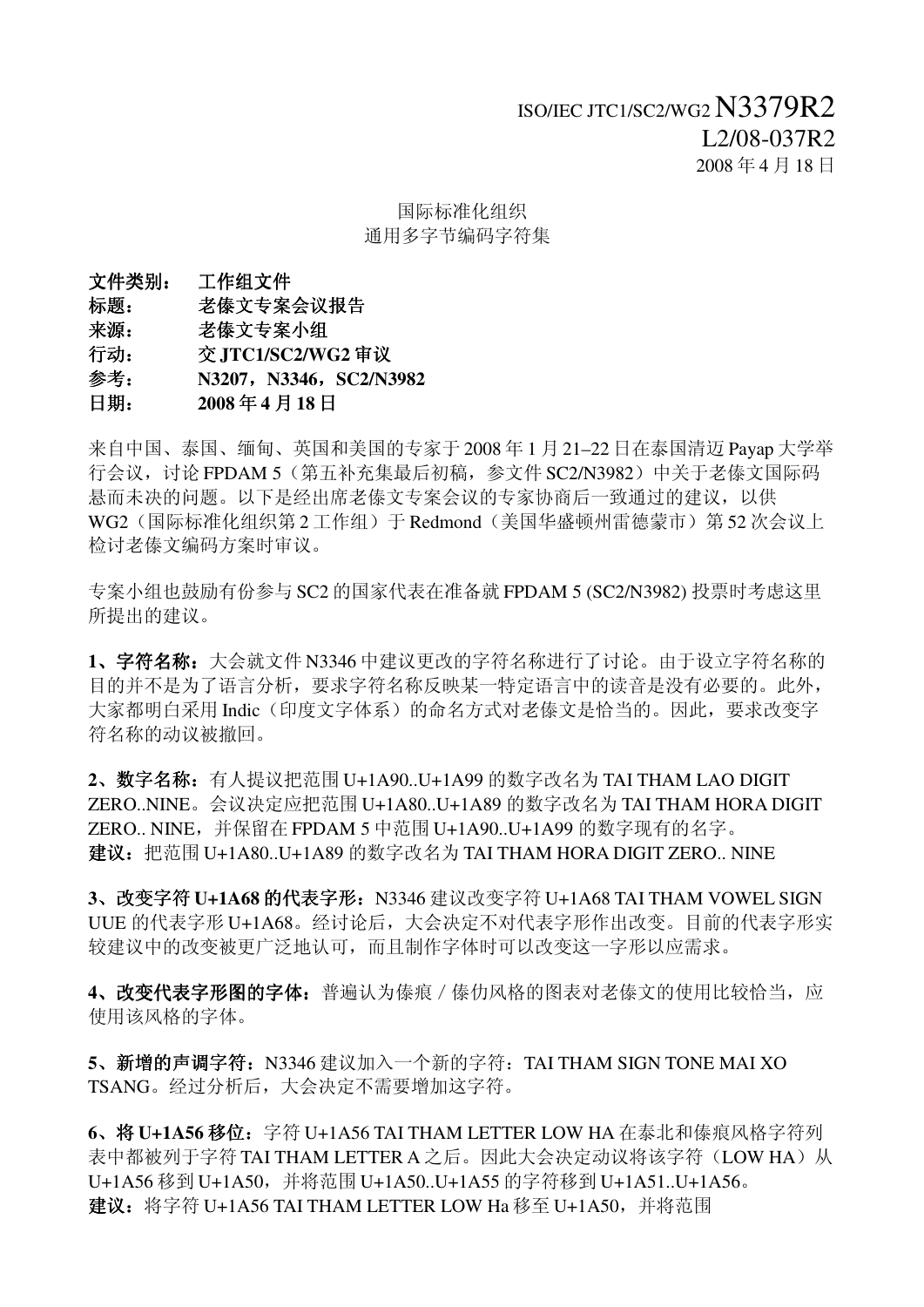# 国际标准化组织 通用多字节编码字符集

文件类别: 工作组文件 标题: 老傣文专案会议报告 来源: 老傣文专案小组

行动: 交 **JTC1/SC2/WG2** 审议

- 参考: **N3207**,**N3346**,**SC2/N3982**
- 日期: **2008** 年 **4** 月 **18** 日

来自中国、泰国、缅甸、英国和美国的专家于 2008 年 1 月 21–22 日在泰国清迈 Payap 大学举 行会议,讨论 FPDAM 5 (第五补充集最后初稿,参文件 SC2/N3982)中关于老傣文国际码 悬而未决的问题。以下是经出席老傣文专案会议的专家协商后一致通过的建议,以供 WG2(国际标准化组织第 2 工作组)于 Redmond(美国华盛顿州雷德蒙市)第 52 次会议上 检讨老傣文编码方案时审议。

专案小组也鼓励有份参与 SC2 的国家代表在准备就 FPDAM 5 (SC2/N3982) 投票时考虑这里 所提出的建议。

**1**、字符名称:大会就文件 N3346 中建议更改的字符名称进行了讨论。由于设立字符名称的 目的并不是为了语言分析,要求字符名称反映某一特定语言中的读音是没有必要的。此外, 大家都明白采用 Indic(印度文字体系)的命名方式对老傣文是恰当的。因此,要求改变字 符名称的动议被撤回。

**2**、数字名称:有人提议把范围 U+1A90..U+1A99 的数字改名为 TAI THAM LAO DIGIT ZERO..NINE。会议决定应把范围 U+1A80..U+1A89 的数字改名为 TAI THAM HORA DIGIT ZERO.. NINE,并保留在 FPDAM 5 中范围 U+1A90..U+1A99 的数字现有的名字。 建议:把范围 U+1A80..U+1A89 的数字改名为 TAI THAM HORA DIGIT ZERO.. NINE

**3**、改变字符 **U+1A68** 的代表字形:N3346 建议改变字符 U+1A68 TAI THAM VOWEL SIGN UUE 的代表字形 U+1A68。经讨论后,大会决定不对代表字形作出改变。目前的代表字形实 较建议中的改变被更广泛地认可,而且制作字体时可以改变这一字形以应需求。

4、改变代表字形图的字体: 普遍认为傣痕 / 傣仂风格的图表对老傣文的使用比较恰当, 应 使用该风格的字体。

**5**、新增的声调字符:N3346 建议加入一个新的字符:TAI THAM SIGN TONE MAI XO TSANG。经过分析后,大会决定不需要增加这字符。

**6**、将 **U+1A56** 移位:字符 U+1A56 TAI THAM LETTER LOW HA 在泰北和傣痕风格字符列 表中都被列于字符 TAI THAM LETTER A 之后。因此大会决定动议将该字符(LOW HA)从 U+1A56 移到 U+1A50,并将范围 U+1A50..U+1A55 的字符移到 U+1A51..U+1A56。 建议:将字符 U+1A56 TAI THAM LETTER LOW Ha 移至 U+1A50,并将范围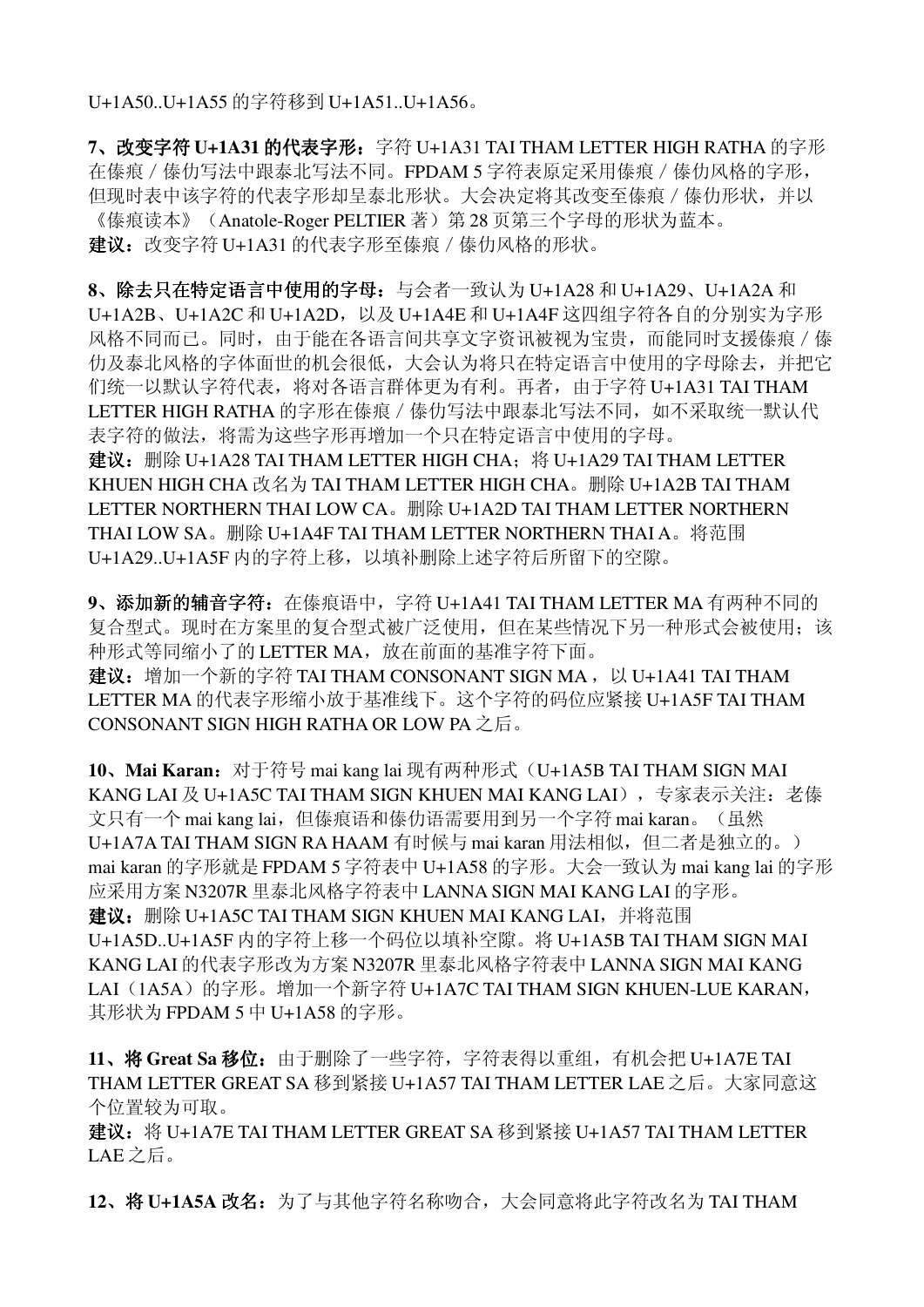U+1A50..U+1A55 的字符移到 U+1A51..U+1A56。

**7**、改变字符 **U+1A31** 的代表字形:字符 U+1A31 TAI THAM LETTER HIGH RATHA 的字形 在傣痕/傣仂写法中跟泰北写法不同。FPDAM 5 字符表原定采用傣痕/傣仂风格的字形, 但现时表中该字符的代表字形却呈泰北形状。大会决定将其改变至傣痕/傣仂形状,并以 《傣痕读本》(Anatole-Roger PELTIER 著) 第 28 页第三个字母的形状为蓝本。 建议: 改变字符 U+1A31 的代表字形至傣痕 / 傣仂风格的形状。

8、除去只在特定语言中使用的字母: 与会者一致认为 U+1A28 和 U+1A29、U+1A2A 和 U+1A2B、U+1A2C 和 U+1A2D,以及 U+1A4E 和 U+1A4F 这四组字符各自的分别实为字形 风格不同而已。同时,由于能在各语言间共享文字资讯被视为宝贵,而能同时支援傣痕 / 傣 仂及泰北风格的字体面世的机会很低,大会认为将只在特定语言中使用的字母除去,并把它 们统一以默认字符代表,将对各语言群体更为有利。再者,由于字符 U+1A31 TAI THAM LETTER HIGH RATHA 的字形在傣痕 / 傣仂写法中跟泰北写法不同,如不采取统一默认代 表字符的做法,将需为这些字形再增加一个只在特定语言中使用的字母。 建议: 删除 U+1A28 TAI THAM LETTER HIGH CHA; 将 U+1A29 TAI THAM LETTER KHUEN HIGH CHA 改名为 TAI THAM LETTER HIGH CHA。删除 U+1A2B TAI THAM LETTER NORTHERN THAI LOW CA。删除 U+1A2D TAI THAM LETTER NORTHERN THAI LOW SA。删除 U+1A4F TAI THAM LETTER NORTHERN THAI A。将范围

U+1A29..U+1A5F 内的字符上移,以填补删除上述字符后所留下的空隙。

9、添加新的辅音字符: 在傣痕语中, 字符 U+1A41 TAI THAM LETTER MA 有两种不同的 复合型式。现时在方案里的复合型式被广泛使用,但在某些情况下另一种形式会被使用;该 种形式等同缩小了的 LETTER MA, 放在前面的基准字符下面。 建议: 增加一个新的字符 TAI THAM CONSONANT SIGN MA, 以 U+1A41 TAI THAM LETTER MA 的代表字形缩小放于基准线下。这个字符的码位应紧接 U+1A5F TAI THAM CONSONANT SIGN HIGH RATHA OR LOW PA 之后。

**10**、**Mai Karan**:对于符号 mai kang lai 现有两种形式(U+1A5B TAI THAM SIGN MAI KANG LAI 及 U+1A5C TAI THAM SIGN KHUEN MAI KANG LAI), 专家表示关注: 老傣 文只有一个 mai kang lai, 但傣痕语和傣仂语需要用到另一个字符 mai karan。(虽然 U+1A7A TAI THAM SIGN RA HAAM 有时候与 mai karan 用法相似, 但二者是独立的。) mai karan 的字形就是 FPDAM 5 字符表中 U+1A58 的字形。大会一致认为 mai kang lai 的字形 应采用方案 N3207R 里泰北风格字符表中 LANNA SIGN MAI KANG LAI 的字形。 建议: 删除 U+1A5C TAI THAM SIGN KHUEN MAI KANG LAI, 并将范围 U+1A5D..U+1A5F 内的字符上移一个码位以填补空隙。将 U+1A5B TAI THAM SIGN MAI KANG LAI 的代表字形改为方案 N3207R 里泰北风格字符表中 LANNA SIGN MAI KANG LAI (1A5A) 的字形。增加一个新字符 U+1A7C TAI THAM SIGN KHUEN-LUE KARAN, 其形状为 FPDAM 5 中 U+1A58 的字形。

11、将 Great Sa 移位: 由于删除了一些字符, 字符表得以重组, 有机会把 U+1A7E TAI THAM LETTER GREAT SA 移到紧接 U+1A57 TAI THAM LETTER LAE 之后。大家同意这 个位置较为可取。

建议:将 U+1A7E TAI THAM LETTER GREAT SA 移到紧接 U+1A57 TAI THAM LETTER LAE 之后。

12、将 U+1A5A 改名: 为了与其他字符名称吻合, 大会同意将此字符改名为 TAI THAM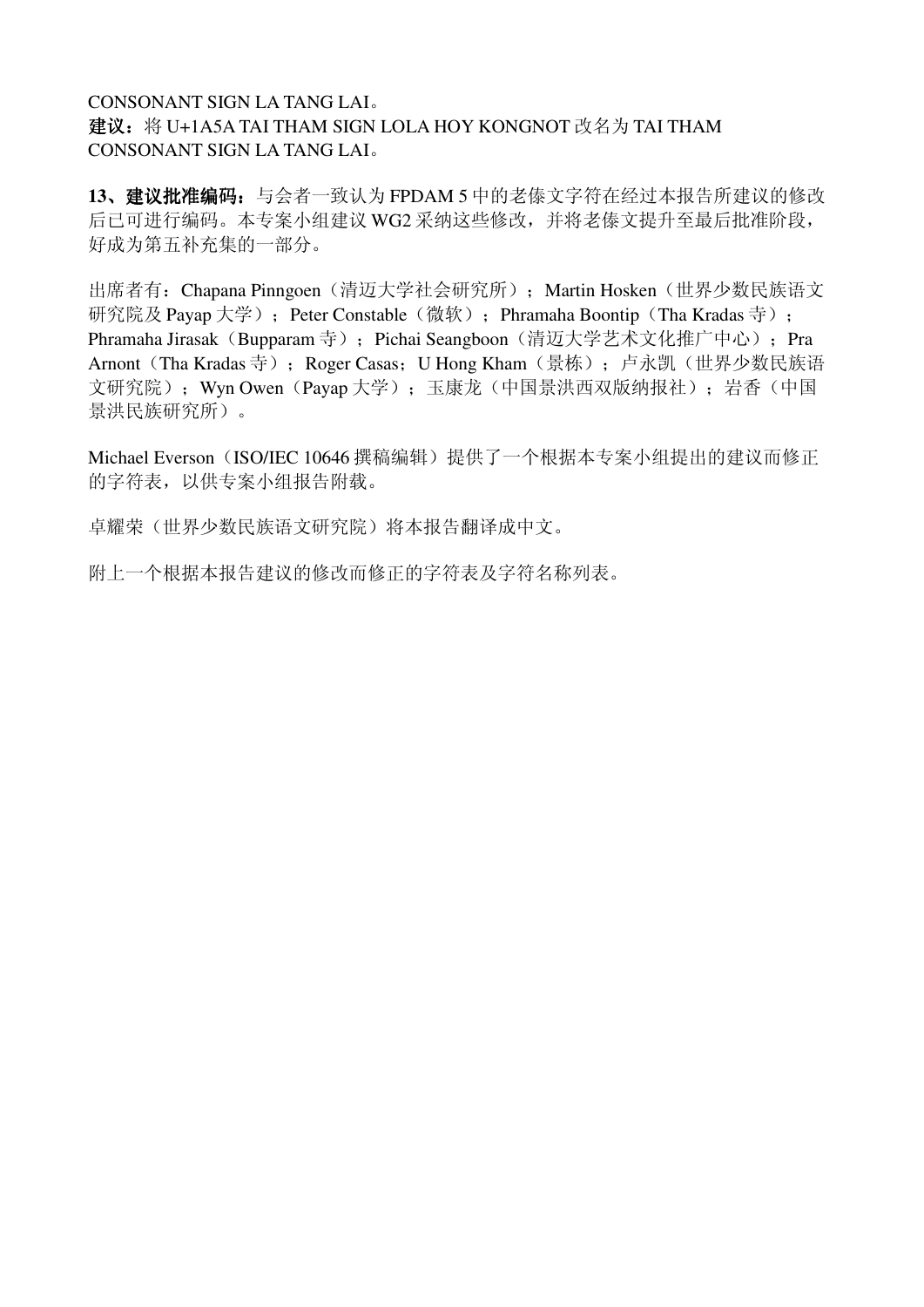# CONSONANT SIGN LA TANG LAI。 建议: 将 U+1A5A TAI THAM SIGN LOLA HOY KONGNOT 改名为 TAI THAM CONSONANT SIGN LA TANG LAI。

13、建议批准编码: 与会者一致认为 FPDAM 5 中的老傣文字符在经过本报告所建议的修改 后已可进行编码。本专案小组建议 WG2 采纳这些修改,并将老傣文提升至最后批准阶段, 好成为第五补充集的一部分。

出席者有: Chapana Pinngoen(清迈大学社会研究所); Martin Hosken(世界少数民族语文 研究院及 Payap 大学); Peter Constable(微软); Phramaha Boontip(Tha Kradas 寺); Phramaha Jirasak (Bupparam 寺); Pichai Seangboon (清迈大学艺术文化推广中心); Pra Arnont (Tha Kradas 寺); Roger Casas; U Hong Kham (景栋); 卢永凯(世界少数民族语 文研究院); Wyn Owen (Payap 大学); 玉康龙(中国景洪西双版纳报社); 岩香(中国 景洪民族研究所)。

Michael Everson (ISO/IEC 10646 撰稿编辑)提供了一个根据本专案小组提出的建议而修正 的字符表,以供专案小组报告附载。

卓耀荣(世界少数民族语文研究院)将本报告翻译成中文。

附上一个根据本报告建议的修改而修正的字符表及字符名称列表。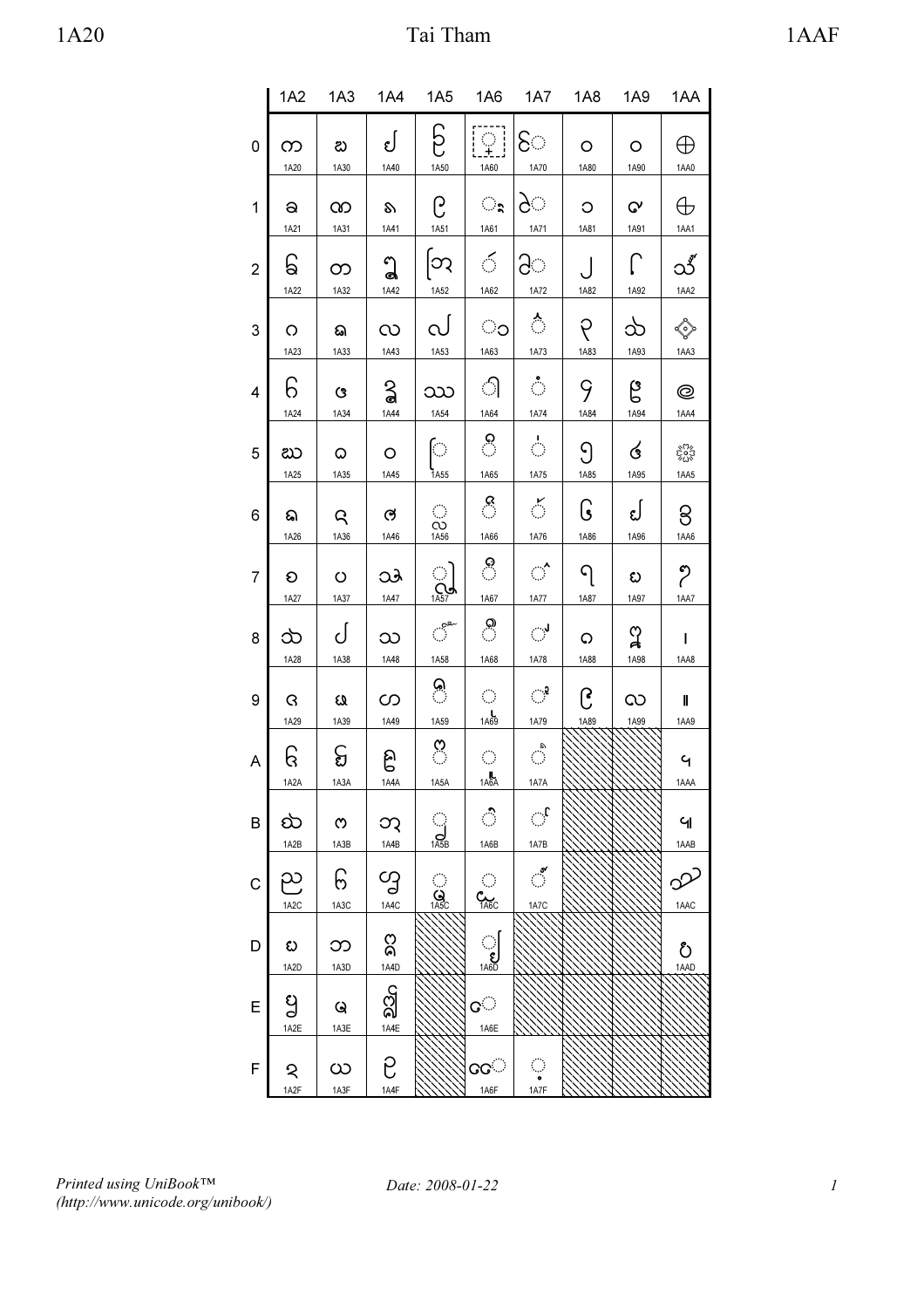|                |                        | 1A2 1A3                  |                   | 1A4 1A5 1A6                                     |                             | 1A7                                       | <b>1A8</b> | 1A9  | 1AA                  |
|----------------|------------------------|--------------------------|-------------------|-------------------------------------------------|-----------------------------|-------------------------------------------|------------|------|----------------------|
| 0              | က                      | బ                        | لئ                | င်                                              | $\Omega^1$                  | ि                                         | O          | O    | ⊕                    |
|                | 1A20                   | 1A30                     | 1A40              | 1A50                                            | 1A60                        | 1A70                                      | 1A80       | 1A90 | 1AA0                 |
| 1              | a                      | က                        | S)                | ၉                                               | ृ                           | े                                         | O          | G٧   | $\oplus$             |
|                | 1A21                   | 1A31                     | 1A41              | 1A51                                            | 1A61                        | 1A71                                      | 1A81       | 1A91 | 1AA1                 |
| $\overline{2}$ | ြ<br>1A22              | တ<br>1A32                | ใ<br>1A42         | တြ<br>1A52                                      | 6.<br>1A62                  | ੇ<br>1A72                                 | 1A82       | 1A92 | ು<br>1AA2            |
| 3              | O                      | ଇ                        | လ                 | $\infty$                                        | ಂ                           | ै                                         | ၃          | သ    | <sup>o</sup>         |
|                | 1A23                   | 1A33                     | 1A43              | 1A53                                            | 1A63                        | 1A73                                      | 1A83       | 1A93 | 1AA3                 |
| 4              | 6                      | ଓ                        | ္ရွ               | ဿ                                               | ி                           | $\mathcal{O}^{\mathcal{A}}$               | 9          | ၉    | Q                    |
|                | 1A24                   | 1A34                     | 1A44              | 1A54                                            | 1A64                        | 1A74                                      | 1A84       | 1A94 | 1AA4                 |
| 5              | ಬು                     | ۵                        | O                 | $\bigcirc$                                      | ိ                           | $\hat{C}$                                 | <u>၅</u>   | ර    | క్టీన                |
|                | 1A25                   | 1A35                     | 1A45              | 1A55                                            | 1A65                        | 1A75                                      | 1A85       | 1A95 | 1AA5                 |
| 6              | ଇ                      | R                        | ල                 | $\langle \rangle$                               | ී                           | ॅ                                         | િ          | ຢ    | 8                    |
|                | 1A26                   | 1A36                     | 1A46              | $\overline{CO}$<br>$\overline{1A56}$            | 1A66                        | 1A76                                      | 1A86       | 1A96 | 1AA6                 |
| 7              | O                      | $\circ$                  | ು                 | ା                                               | ී                           | $\mathcal{C}^{\mathcal{L}}_{\mathcal{A}}$ | ၡ          | ಬ    | ႒                    |
|                | 1A27                   | 1A37                     | 1A47              | $\sum_{1\leq 5}$                                | 1A67                        | 1A77                                      | 1A87       | 1A97 | 1AA7                 |
| 8              | သ                      | ل                        | သ                 | $\mathbb{C}^{\mathbb{R}^{\mathbf{R}^{\omega}}}$ | ္ပြ                         | ି                                         | O          | ျာ   | L                    |
|                | 1A28                   | 1A38                     | 1A48              | 1A58                                            | 1A68                        | 1A78                                      | 1A88       | 1A98 | 1AA8                 |
| 9              | G                      | EQ                       | တ                 | (م)<br>∶                                        | $\langle \cdot \rangle$     | $\mathbb{C}^2$                            | ၉          | လ    | Ш                    |
|                | 1A29                   | 1A39                     | 1A49              | 1A59                                            | 1A69                        | 1A79                                      | 1A89       | 1A99 | 1AA9                 |
| A              | ြ<br>1A2A              | င္စ<br>1A3A              | ၉<br>1A4A         | ိ<br>1A5A                                       | $\mathcal{C}$<br>1A6A       | ै<br>1A7A                                 |            |      | $\mathsf{G}$<br>1AAA |
| B              | ట<br>1A2B              | $\infty$                 | ဘု<br>1A4B        | $\bigcup_{1\text{ASB}}$                         | ै<br>1A6B                   | ्री<br>1A7B                               |            |      | ଧ<br>1AAB            |
| C              | ည<br>1A <sub>2</sub> C | 1A3B<br>၆<br>1A3C        | လွှ<br>1A4C       | <u>ု</u><br>ပြ<br>1A5C                          | C <sub>TAGC</sub>           | $\sim$<br>1A7C                            |            |      | ್ರ<br>1AAC           |
| D              | ಬ                      | ဘ                        | ႙                 |                                                 | $\bigcup_{1\text{A6D}}$     |                                           |            |      | రీ                   |
| E              | 1A2D<br>ပ္မ            | 1A3D<br>Q                | 1A4D<br><u>ଧି</u> |                                                 | ତ $\mathbb{C}^{\mathbb{C}}$ |                                           |            |      | 1AAD                 |
| F              | 1A2E<br>২<br>1A2F      | 1A3E<br>$\infty$<br>1A3F | 1A4E<br>ဥ<br>1A4F |                                                 | 1A6E<br>$\infty$<br>1A6F    | ्<br>1A7F                                 |            |      |                      |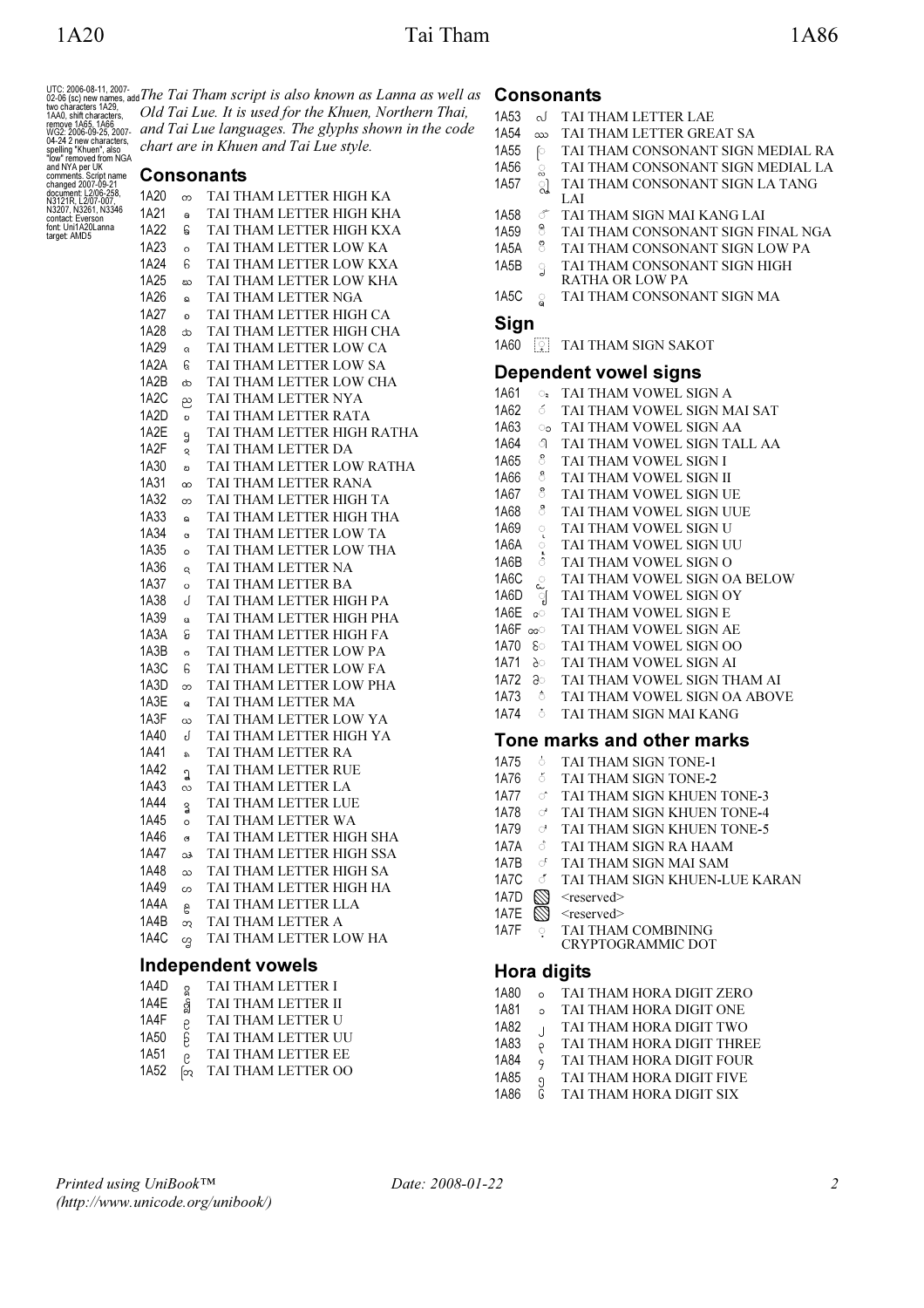UTC: 2006-08-11, 2007-<br>02-06 (sc) new names, add<br>two characters 1A29,<br>1AA0, shift characters,<br>remove 1A65, 1A66<br>wG2: 2006-09-25, 2007-<br>werms - 1250-09-25, 2007-<br>spelling "Khuen", also<br>spelling "Khuen", also<br>and NYA per UK comments. Script name changed 2007-09-21 document: L2/06-258, N3121R, L2/07-007, N3207, N3261, N3346 contact: Everson font: Uni1A20Lanna target: AMD5

The Tai Tham script is also known as Lanna as well as Old Tai Lue. It is used for the Khuen, Northern Thai, and Tai Lue languages. The glyphs shown in the code chart are in Khuen and Tai Lue style.

# Consonants

| 1A20         | က        | TAI THAM LETTER HIGH KA                             |
|--------------|----------|-----------------------------------------------------|
| 1A21         | a        | TAI THAM LETTER HIGH KHA                            |
| 1A22         | ြေ       | TAI THAM LETTER HIGH KXA                            |
| 1A23         | $\circ$  | TAI THAM LETTER LOW KA                              |
| 1A24         | 6        | TAI THAM LETTER LOW KXA                             |
| 1A25         | ಬು       | TAI THAM LETTER LOW KHA                             |
| 1A26         | ଇ        | TAI THAM LETTER NGA                                 |
| 1A27         | O        | TAI THAM LETTER HIGH CA                             |
| 1A28         | œ        | TAI THAM LETTER HIGH CHA                            |
| 1A29         | G        | TAI THAM LETTER LOW CA                              |
| 1A2A         | કિ       | TAI THAM LETTER LOW SA                              |
| 1A2B         | ಹಿ       | TAI THAM LETTER LOW CHA                             |
| 1A2C         | ည        | TAI THAM LETTER NYA                                 |
| 1A2D         | O        | TAI THAM LETTER RATA                                |
| 1A2E         | g        | TAI THAM LETTER HIGH RATHA                          |
| 1A2F         | S        | TAI THAM LETTER DA                                  |
| 1A30         | బ        | TAI THAM LETTER LOW RATHA                           |
| 1A31         | လ        | TAI THAM LETTER RANA                                |
| 1A32         | တ        | TAI THAM LETTER HIGH TA                             |
| 1A33         | බ        | TAI THAM LETTER HIGH THA                            |
| 1A34         | Ġ        | TAI THAM LETTER LOW TA                              |
| 1A35         | $\circ$  | TAI THAM LETTER LOW THA                             |
| 1A36         | Q        | TAI THAM LETTER NA                                  |
| 1A37         | $\circ$  | TAI THAM LETTER BA                                  |
| 1A38         | J        | TAI THAM LETTER HIGH PA                             |
| 1A39         | $\omega$ | TAI THAM LETTER HIGH PHA                            |
| 1A3A         | င္ပ      | TAI THAM LETTER HIGH FA                             |
| 1A3B         | ო        | TAI THAM LETTER LOW PA                              |
| 1A3C         | 6        | TAI THAM LETTER LOW FA                              |
| 1A3D         | ဘ        | TAI THAM LETTER LOW PHA                             |
| 1A3E         | Q        | TAI THAM LETTER MA                                  |
| 1A3F         | ယ        | TAI THAM LETTER LOW YA                              |
| 1A40         | J        | TAI THAM LETTER HIGH YA                             |
| 1A41         | s,       | TAI THAM LETTER RA                                  |
| 1A42         | J        | TAI THAM LETTER RUE                                 |
| 1A43         | လ        | TAI THAM LETTER LA                                  |
| 1A44         | 3        | TAI THAM LETTER LUE                                 |
| 1A45         | $\circ$  | TAI THAM LETTER WA                                  |
| 1A46         | G        | TAI THAM LETTER HIGH SHA                            |
| 1A47<br>1A48 | ು        | TAI THAM LETTER HIGH SSA<br>TAI THAM LETTER HIGH SA |
| 1A49         | သ        |                                                     |
| 1A4A         | ပာ       | TAI THAM LETTER HIGH HA<br>TAI THAM LETTER LLA      |
| 1A4B         | g        | TAI THAM LETTER A                                   |
| 1A4C         | ဘ        | TAI THAM LETTER LOW HA                              |
|              | ನ        |                                                     |
|              |          | Independent vowels                                  |

#### 1A4D <sup>a</sup> TAI THAM LETTER I<br>1A4E a TAI THAM LETTER II 1A4E STAI THAM LETTER II<br>1A4F 2 TAI THAM LETTER U 1A4F  $\frac{1}{2}$  TAI THAM LETTER U<br>1A50  $\frac{1}{2}$  TAI THAM LETTER U TAI THAM LETTER UU 1A51  $\frac{1}{2}$  TAI THAM LETTER EE<br>1A52  $\frac{1}{2}$  TAI THAM LETTER OO  $\overline{\varphi}$  TAI THAM LETTER OO

|                   |                            | Consonants                        |  |  |  |  |
|-------------------|----------------------------|-----------------------------------|--|--|--|--|
| 1A53              | ℴℐ                         | TAI THAM LETTER LAE               |  |  |  |  |
| 1A54              | ဿ                          | TAI THAM LETTER GREAT SA          |  |  |  |  |
| 1A55              | ြ                          | TAI THAM CONSONANT SIGN MEDIAL RA |  |  |  |  |
| 1A56              | ್ಹ                         | TAI THAM CONSONANT SIGN MEDIAL LA |  |  |  |  |
| 1A57              | ્રી                        | TAI THAM CONSONANT SIGN LA TANG   |  |  |  |  |
|                   |                            | LAI                               |  |  |  |  |
| 1A58              | ீ                          | TAI THAM SIGN MAI KANG LAI        |  |  |  |  |
| 1A59              | 8.                         | TAI THAM CONSONANT SIGN FINAL NGA |  |  |  |  |
| 1A <sub>5</sub> A | 8.                         | TAI THAM CONSONANT SIGN LOW PA    |  |  |  |  |
| 1A5B              | ្វ                         | TAI THAM CONSONANT SIGN HIGH      |  |  |  |  |
|                   |                            | RATHA OR LOW PA                   |  |  |  |  |
| 1A5C              | ្ត្                        | TAI THAM CONSONANT SIGN MA        |  |  |  |  |
| Sign              |                            |                                   |  |  |  |  |
|                   |                            | 1A60 <b>THAM SIGN SAKOT</b>       |  |  |  |  |
|                   |                            | <b>Dependent vowel signs</b>      |  |  |  |  |
| 1A61              | $\circ$ .                  | TAI THAM VOWEL SIGN A             |  |  |  |  |
| 1A62              | δ.                         | TAI THAM VOWEL SIGN MAI SAT       |  |  |  |  |
| 1A63              | ാ                          | TAI THAM VOWEL SIGN AA            |  |  |  |  |
| 1A64              | ி.                         | TAI THAM VOWEL SIGN TALL AA       |  |  |  |  |
| 1A65              | 8                          | TAI THAM VOWEL SIGN I             |  |  |  |  |
| 1A66              | ්රි                        | TAI THAM VOWEL SIGN II            |  |  |  |  |
| 1A67              | ీ                          | TAI THAM VOWEL SIGN UE            |  |  |  |  |
| 1A68              | ී                          | TAI THAM VOWEL SIGN UUE           |  |  |  |  |
| 1A69              | ृ                          | TAI THAM VOWEL SIGN U             |  |  |  |  |
| 1A6A              | $\circ$                    | TAI THAM VOWEL SIGN UU            |  |  |  |  |
| 1A6B              | ់                          | TAI THAM VOWEL SIGN O             |  |  |  |  |
| 1A6C              | $\bigcirc$                 | TAI THAM VOWEL SIGN OA BELOW      |  |  |  |  |
| 1A6D              | ୍ମୀ                        | TAI THAM VOWEL SIGN OY            |  |  |  |  |
| 1A6E              | <b>CO</b>                  | TAI THAM VOWEL SIGN E             |  |  |  |  |
| 1A6F ം            |                            | TAI THAM VOWEL SIGN AE            |  |  |  |  |
| 1A70 &            |                            | TAI THAM VOWEL SIGN OO            |  |  |  |  |
| 1A71 ∂ਂ           |                            | TAI THAM VOWEL SIGN AI            |  |  |  |  |
| 1A72 a            |                            | TAI THAM VOWEL SIGN THAM AI       |  |  |  |  |
| 1A73 ి            |                            | TAI THAM VOWEL SIGN OA ABOVE      |  |  |  |  |
| 1A74              | - 6                        | TAI THAM SIGN MAI KANG            |  |  |  |  |
|                   | Tone marks and other marks |                                   |  |  |  |  |
| 1A75              | ò                          | TAI THAM SIGN TONE-1              |  |  |  |  |
| 1A76              | δ.                         | TAI THAM SIGN TONE-2              |  |  |  |  |
| <b>1A77</b>       | ੱ                          | TAI THAM SIGN KHUEN TONE-3        |  |  |  |  |
| 1A78              | ೆ                          | TAI THAM SIGN KHUEN TONE-4        |  |  |  |  |
| 1A79              | ♂                          | TAI THAM SIGN KHUEN TONE-5        |  |  |  |  |
| 1A7A              | ै                          | TAI THAM SIGN RA HAAM             |  |  |  |  |
| 1A7B              | S.                         | TAI THAM SIGN MAI SAM             |  |  |  |  |

- 1A7C *I* TAI THAM SIGN KHUEN-LUE KARAN
- 1A7D  $\bigotimes$  <reserved><br>1A7E  $\bigotimes$  <reserved>
- 
- 1A7E  $\bigotimes$  <reserved><br>1A7F  $\circ$  TAI THAN  $\overline{?}$  TAI THAM COMBINING CRYPTOGRAMMIC DOT

## Hora digits

- 1A80 ᪀ TAI THAM HORA DIGIT ZERO
- 
- 1A81 **S** TAI THAM HORA DIGIT ONE<br>
1A82 TAI THAM HORA DIGIT TWO
- 1A82 J TAI THAM HORA DIGIT TWO<br>1A83 b TAI THAM HORA DIGIT THRE
- 1A83 Y TAI THAM HORA DIGIT THREE<br>1A84 S TAI THAM HORA DIGIT FOUR
- 1A84  $\frac{1}{9}$  TAI THAM HORA DIGIT FOUR<br>1A85  $\frac{1}{9}$  TAI THAM HORA DIGIT FIVE
- 1A85  $\frac{1}{9}$  TAI THAM HORA DIGIT FIVE<br>1A86  $\frac{1}{9}$  TAI THAM HORA DIGIT SIX TAI THAM HORA DIGIT SIX